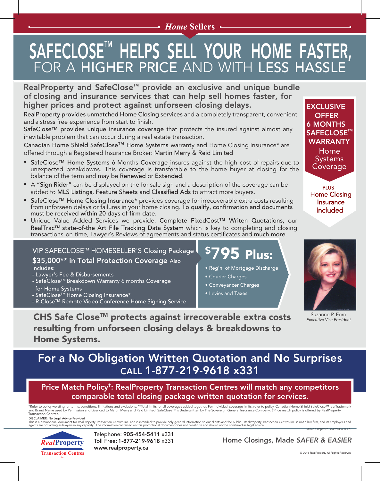#### *Home* **Sellers**

## SAFECLOSE" HELPS SELL YOUR HOME FASTER, FOR A HIGHER PRICE AND WITH LESS HASSLE

#### RealProperty and SafeClose™ provide an exclusive and unique bundle of closing and insurance services that can help sell homes faster, for higher prices and protect against unforseen closing delays.

RealProperty provides unmatched Home Closing services and a completely transparent, convenient and a stress free experience from start to finish.

SafeClose™ provides unique insurance coverage that protects the insured against almost any inevitable problem that can occur during a real estate transaction.

Canadian Home Shield SafeClose™ Home Systems warranty and Home Closing Insurance\* are offered through a Registered Insurance Broker: Martin Merry & Reid Limited

- SafeClose™ Home Systems 6 Months Coverage insures against the high cost of repairs due to unexpected breakdowns. This coverage is transferable to the home buyer at closing for the balance of the term and may be Renewed or Extended.
- A "Sign Rider" can be displayed on the for sale sign and a description of the coverage can be added to MLS Listings, Feature Sheets and Classified Ads to attract more buyers.
- SafeClose™ Home Closing Insurance\* provides coverage for irrecoverable extra costs resulting from unforseen delays or failures in your home closing. To qualify, confirmation and documents must be received within 20 days of firm date.
- Unique Value Added Services we provide, Complete FixedCost™ Writen Quotations, our RealTrac™ state-of-the Art File Tracking Data System which is key to completing and closing transactions on time, Lawyer's Reviews of agreements and status certificates and much more.

VIP SAFECLOSE™ HOMESELLER'S Closing Package \$35,000\*\* in Total Protection Coverage Also Includes:

- Lawyer's Fee & Disbursements
- SafeClose™ Breakdown Warranty 6 months Coverage for Home Systems
- SafeClose™ Home Closing Insurance\*
- R-Close™ Remote Video Conference Home Signing Service

## \$795 Plus:

- Reg'n, of Mortgage Discharge
- Courier Charges
- Conveyancer Charges
- Levies and Taxes

**EXCLUSIVE** 6 MONTHS 6 MONTHS SAFECLOSE<sup>™</sup> WARRANTY Home **Systems** Coverage **OFFER** 

PLUS Home Closing Insurance Included



Suzanne P. Ford *Executive Vice President*

CHS Safe Close<sup>™</sup> protects against irrecoverable extra costs resulting from unforseen closing delays & breakdowns to Home Systems.

### For a No Obligation Written Quotation and No Surprises CALL 1-877-219-9618 x331

Price Match Policy†: RealProperty Transaction Centres will match any competitors comparable total closing package written quotation for services.

\*Refer to policy wording for terms, conditions, limitations and exclusions. \*\*Total limits for all coverages added together. For individual coverage limits, refer to policy. Canadian Home Shield SafeClose™ is a Trademark<br> Transaction Centres.

MLS is a Registered Trademark of CREA. DISCLAIMER: No Legal Advice Provided<br>This is a promotional document for RealProperty Transaction Centres Inc. and is intended to provide only general information to our clients and the public. RealProperty Transaction Cent



Telephone: 905-454-5411 x331 Toll Free: 1-877-219-9618 x331 www.realproperty.ca

Home Closings, Made *SAFER & EASIER*